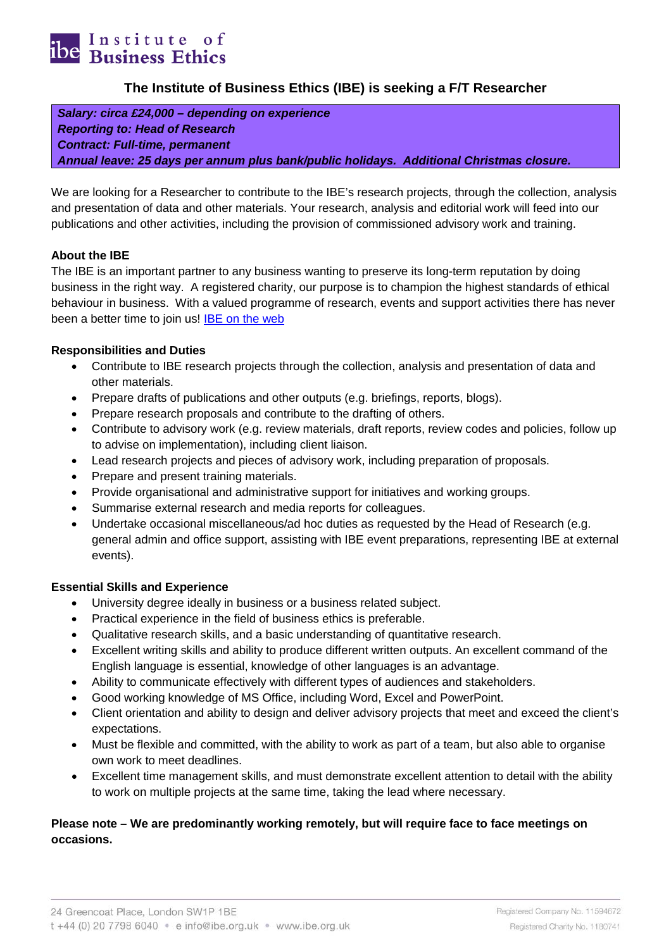

# **The Institute of Business Ethics (IBE) is seeking a F/T Researcher**

*Salary: circa £24,000 – depending on experience Reporting to: Head of Research Contract: Full-time, permanent Annual leave: 25 days per annum plus bank/public holidays. Additional Christmas closure.*

We are looking for a Researcher to contribute to the IBE's research projects, through the collection, analysis and presentation of data and other materials. Your research, analysis and editorial work will feed into our publications and other activities, including the provision of commissioned advisory work and training.

### **About the IBE**

The IBE is an important partner to any business wanting to preserve its long-term reputation by doing business in the right way. A registered charity, our purpose is to champion the highest standards of ethical behaviour in business. With a valued programme of research, events and support activities there has never been a better time to join us! **IBE** on the web

### **Responsibilities and Duties**

- Contribute to IBE research projects through the collection, analysis and presentation of data and other materials.
- Prepare drafts of publications and other outputs (e.g. briefings, reports, blogs).
- Prepare research proposals and contribute to the drafting of others.
- Contribute to advisory work (e.g. review materials, draft reports, review codes and policies, follow up to advise on implementation), including client liaison.
- Lead research projects and pieces of advisory work, including preparation of proposals.
- Prepare and present training materials.
- Provide organisational and administrative support for initiatives and working groups.
- Summarise external research and media reports for colleagues.
- Undertake occasional miscellaneous/ad hoc duties as requested by the Head of Research (e.g. general admin and office support, assisting with IBE event preparations, representing IBE at external events).

### **Essential Skills and Experience**

- University degree ideally in business or a business related subject.
- Practical experience in the field of business ethics is preferable.
- Qualitative research skills, and a basic understanding of quantitative research.
- Excellent writing skills and ability to produce different written outputs. An excellent command of the English language is essential, knowledge of other languages is an advantage.
- Ability to communicate effectively with different types of audiences and stakeholders.
- Good working knowledge of MS Office, including Word, Excel and PowerPoint.
- Client orientation and ability to design and deliver advisory projects that meet and exceed the client's expectations.
- Must be flexible and committed, with the ability to work as part of a team, but also able to organise own work to meet deadlines.
- Excellent time management skills, and must demonstrate excellent attention to detail with the ability to work on multiple projects at the same time, taking the lead where necessary.

# **Please note – We are predominantly working remotely, but will require face to face meetings on occasions.**